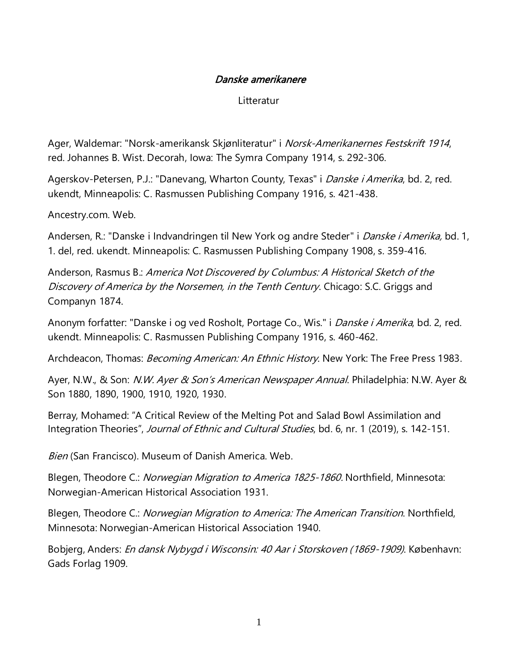## Danske amerikanere

Litteratur

Ager, Waldemar: "Norsk-amerikansk Skjønliteratur" i *Norsk-Amerikanernes Festskrift 1914*, red. Johannes B. Wist. Decorah, Iowa: The Symra Company 1914, s. 292-306.

Agerskov-Petersen, P.J.: "Danevang, Wharton County, Texas" i *Danske i Amerika*, bd. 2, red. ukendt, Minneapolis: C. Rasmussen Publishing Company 1916, s. 421-438.

Ancestry.com. Web.

Andersen, R.: "Danske i Indvandringen til New York og andre Steder" i *Danske i Amerika*, bd. 1, 1. del, red. ukendt. Minneapolis: C. Rasmussen Publishing Company 1908, s. 359-416.

Anderson, Rasmus B.: America Not Discovered by Columbus: A Historical Sketch of the Discovery of America by the Norsemen, in the Tenth Century. Chicago: S.C. Griggs and Companyn 1874.

Anonym forfatter: "Danske i og ved Rosholt, Portage Co., Wis." i *Danske i Amerika*, bd. 2, red. ukendt. Minneapolis: C. Rasmussen Publishing Company 1916, s. 460-462.

Archdeacon, Thomas: *Becoming American: An Ethnic History*. New York: The Free Press 1983.

Ayer, N.W., & Son: *N.W. Ayer & Son's American Newspaper Annual*. Philadelphia: N.W. Ayer & Son 1880, 1890, 1900, 1910, 1920, 1930.

Berray, Mohamed: "A Critical Review of the Melting Pot and Salad Bowl Assimilation and Integration Theories", Journal of Ethnic and Cultural Studies, bd. 6, nr. 1 (2019), s. 142-151.

Bien (San Francisco). Museum of Danish America. Web.

Blegen, Theodore C.: *Norwegian Migration to America 1825-1860.* Northfield, Minnesota: Norwegian-American Historical Association 1931.

Blegen, Theodore C.: Norwegian Migration to America: The American Transition. Northfield, Minnesota: Norwegian-American Historical Association 1940.

Bobjerg, Anders: En dansk Nybygd i Wisconsin: 40 Aar i Storskoven (1869-1909). København: Gads Forlag 1909.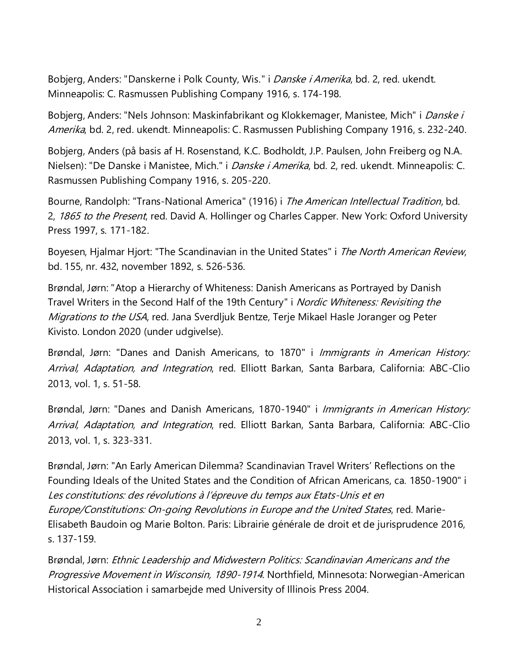Bobjerg, Anders: "Danskerne i Polk County, Wis." i *Danske i Amerika*, bd. 2, red. ukendt. Minneapolis: C. Rasmussen Publishing Company 1916, s. 174-198.

Bobjerg, Anders: "Nels Johnson: Maskinfabrikant og Klokkemager, Manistee, Mich" i *Danske i* Amerika, bd. 2, red. ukendt. Minneapolis: C. Rasmussen Publishing Company 1916, s. 232-240.

Bobjerg, Anders (på basis af H. Rosenstand, K.C. Bodholdt, J.P. Paulsen, John Freiberg og N.A. Nielsen): "De Danske i Manistee, Mich." i *Danske i Amerika*, bd. 2, red. ukendt. Minneapolis: C. Rasmussen Publishing Company 1916, s. 205-220.

Bourne, Randolph: "Trans-National America" (1916) i The American Intellectual Tradition, bd. 2, 1865 to the Present, red. David A. Hollinger og Charles Capper. New York: Oxford University Press 1997, s. 171-182.

Boyesen, Hjalmar Hjort: "The Scandinavian in the United States" i The North American Review, bd. 155, nr. 432, november 1892, s. 526-536.

Brøndal, Jørn: "Atop a Hierarchy of Whiteness: Danish Americans as Portrayed by Danish Travel Writers in the Second Half of the 19th Century" i Nordic Whiteness: Revisiting the Migrations to the USA, red. Jana Sverdljuk Bentze, Terje Mikael Hasle Joranger og Peter Kivisto. London 2020 (under udgivelse).

Brøndal, Jørn: "Danes and Danish Americans, to 1870" i *Immigrants in American History:* Arrival, Adaptation, and Integration, red. Elliott Barkan, Santa Barbara, California: ABC-Clio 2013, vol. 1, s. 51-58.

Brøndal, Jørn: "Danes and Danish Americans, 1870-1940" i Immigrants in American History: Arrival, Adaptation, and Integration, red. Elliott Barkan, Santa Barbara, California: ABC-Clio 2013, vol. 1, s. 323-331.

Brøndal, Jørn: "An Early American Dilemma? Scandinavian Travel Writers' Reflections on the Founding Ideals of the United States and the Condition of African Americans, ca. 1850-1900" i Les constitutions: des révolutions à l'épreuve du temps aux Etats-Unis et en Europe/Constitutions: On-going Revolutions in Europe and the United States, red. Marie-Elisabeth Baudoin og Marie Bolton. Paris: Librairie générale de droit et de jurisprudence 2016, s. 137-159.

Brøndal, Jørn: Ethnic Leadership and Midwestern Politics: Scandinavian Americans and the Progressive Movement in Wisconsin, 1890-1914. Northfield, Minnesota: Norwegian-American Historical Association i samarbejde med University of Illinois Press 2004.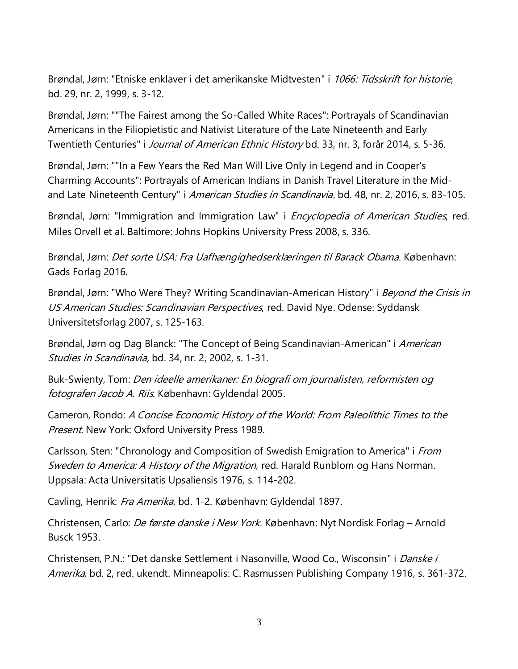Brøndal, Jørn: "Etniske enklaver i det amerikanske Midtvesten" i 1066: Tidsskrift for historie, bd. 29, nr. 2, 1999, s. 3-12.

Brøndal, Jørn: ""The Fairest among the So-Called White Races": Portrayals of Scandinavian Americans in the Filiopietistic and Nativist Literature of the Late Nineteenth and Early Twentieth Centuries" i *Journal of American Ethnic History* bd. 33, nr. 3, forår 2014, s. 5-36.

Brøndal, Jørn: ""In a Few Years the Red Man Will Live Only in Legend and in Cooper's Charming Accounts": Portrayals of American Indians in Danish Travel Literature in the Midand Late Nineteenth Century" i American Studies in Scandinavia, bd. 48, nr. 2, 2016, s. 83-105.

Brøndal, Jørn: "Immigration and Immigration Law" i *Encyclopedia of American Studies*, red. Miles Orvell et al. Baltimore: Johns Hopkins University Press 2008, s. 336.

Brøndal, Jørn: Det sorte USA: Fra Uafhængighedserklæringen til Barack Obama. København: Gads Forlag 2016.

Brøndal, Jørn: "Who Were They? Writing Scandinavian-American History" i Beyond the Crisis in US American Studies: Scandinavian Perspectives, red. David Nye. Odense: Syddansk Universitetsforlag 2007, s. 125-163.

Brøndal, Jørn og Dag Blanck: "The Concept of Being Scandinavian-American" i American Studies in Scandinavia, bd. 34, nr. 2, 2002, s. 1-31.

Buk-Swienty, Tom: Den ideelle amerikaner: En biografi om journalisten, reformisten og fotografen Jacob A. Riis. København: Gyldendal 2005.

Cameron, Rondo: A Concise Economic History of the World: From Paleolithic Times to the Present. New York: Oxford University Press 1989.

Carlsson, Sten: "Chronology and Composition of Swedish Emigration to America" i From Sweden to America: A History of the Migration, red. Harald Runblom og Hans Norman. Uppsala: Acta Universitatis Upsaliensis 1976, s. 114-202.

Cavling, Henrik: Fra Amerika, bd. 1-2. København: Gyldendal 1897.

Christensen, Carlo: *De første danske i New York*. København: Nyt Nordisk Forlag – Arnold Busck 1953.

Christensen, P.N.: "Det danske Settlement i Nasonville, Wood Co., Wisconsin" i Danske i Amerika, bd. 2, red. ukendt. Minneapolis: C. Rasmussen Publishing Company 1916, s. 361-372.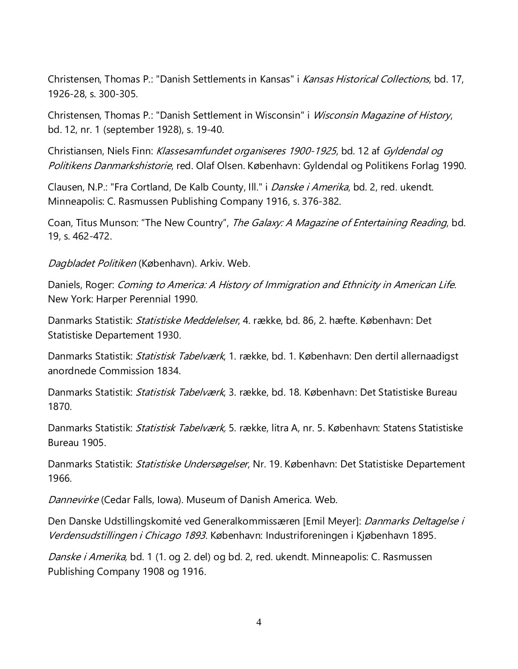Christensen, Thomas P.: "Danish Settlements in Kansas" i Kansas Historical Collections, bd. 17, 1926-28, s. 300-305.

Christensen, Thomas P.: "Danish Settlement in Wisconsin" i Wisconsin Magazine of History, bd. 12, nr. 1 (september 1928), s. 19-40.

Christiansen, Niels Finn: Klassesamfundet organiseres 1900-1925, bd. 12 af Gyldendal og Politikens Danmarkshistorie, red. Olaf Olsen. København: Gyldendal og Politikens Forlag 1990.

Clausen, N.P.: "Fra Cortland, De Kalb County, Ill." i Danske i Amerika, bd. 2, red. ukendt. Minneapolis: C. Rasmussen Publishing Company 1916, s. 376-382.

Coan, Titus Munson: "The New Country", The Galaxy: A Magazine of Entertaining Reading, bd. 19, s. 462-472.

Dagbladet Politiken (København). Arkiv. Web.

Daniels, Roger: Coming to America: A History of Immigration and Ethnicity in American Life. New York: Harper Perennial 1990.

Danmarks Statistik: Statistiske Meddelelser, 4. række, bd. 86, 2. hæfte. København: Det Statistiske Departement 1930.

Danmarks Statistik: *Statistisk Tabelværk*, 1. række, bd. 1. København: Den dertil allernaadigst anordnede Commission 1834.

Danmarks Statistik: *Statistisk Tabelværk*, 3. række, bd. 18. København: Det Statistiske Bureau 1870.

Danmarks Statistik: *Statistisk Tabelværk*, 5. række, litra A, nr. 5. København: Statens Statistiske Bureau 1905.

Danmarks Statistik: *Statistiske Undersøgelser*, Nr. 19. København: Det Statistiske Departement 1966.

Dannevirke (Cedar Falls, Iowa). Museum of Danish America. Web.

Den Danske Udstillingskomité ved Generalkommissæren [Emil Meyer]: *Danmarks Deltagelse i* Verdensudstillingen i Chicago 1893. København: Industriforeningen i Kjøbenhavn 1895.

Danske i Amerika, bd. 1 (1. og 2. del) og bd. 2, red. ukendt. Minneapolis: C. Rasmussen Publishing Company 1908 og 1916.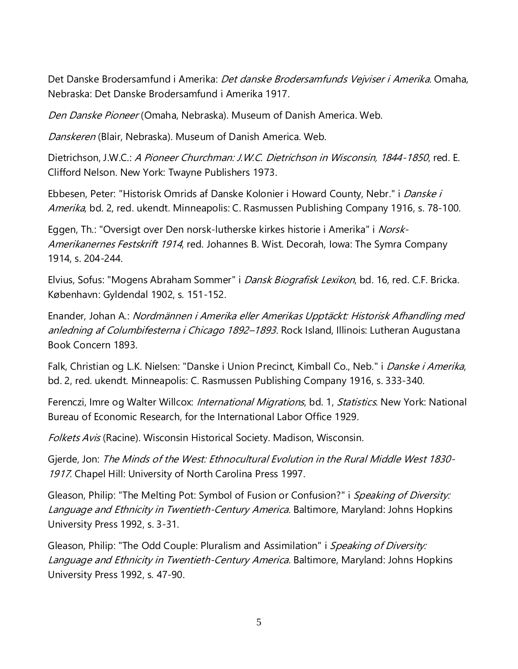Det Danske Brodersamfund i Amerika: *Det danske Brodersamfunds Vejviser i Amerika*. Omaha, Nebraska: Det Danske Brodersamfund i Amerika 1917.

Den Danske Pioneer (Omaha, Nebraska). Museum of Danish America. Web.

Danskeren (Blair, Nebraska). Museum of Danish America. Web.

Dietrichson, J.W.C.: A Pioneer Churchman: J.W.C. Dietrichson in Wisconsin, 1844-1850, red. E. Clifford Nelson. New York: Twayne Publishers 1973.

Ebbesen, Peter: "Historisk Omrids af Danske Kolonier i Howard County, Nebr." i Danske i Amerika, bd. 2, red. ukendt. Minneapolis: C. Rasmussen Publishing Company 1916, s. 78-100.

Eggen, Th.: "Oversigt over Den norsk-lutherske kirkes historie i Amerika" i Norsk-Amerikanernes Festskrift 1914, red. Johannes B. Wist. Decorah, Iowa: The Symra Company 1914, s. 204-244.

Elvius, Sofus: "Mogens Abraham Sommer" i *Dansk Biografisk Lexikon*, bd. 16, red. C.F. Bricka. København: Gyldendal 1902, s. 151-152.

Enander, Johan A.: Nordmännen i Amerika eller Amerikas Upptäckt: Historisk Afhandling med anledning af Columbifesterna i Chicago 1892–1893. Rock Island, Illinois: Lutheran Augustana Book Concern 1893.

Falk, Christian og L.K. Nielsen: "Danske i Union Precinct, Kimball Co., Neb." i Danske i Amerika, bd. 2, red. ukendt. Minneapolis: C. Rasmussen Publishing Company 1916, s. 333-340.

Ferenczi, Imre og Walter Willcox: *International Migrations*, bd. 1, *Statistics*. New York: National Bureau of Economic Research, for the International Labor Office 1929.

Folkets Avis (Racine). Wisconsin Historical Society. Madison, Wisconsin.

Gjerde, Jon: The Minds of the West: Ethnocultural Evolution in the Rural Middle West 1830- 1917. Chapel Hill: University of North Carolina Press 1997.

Gleason, Philip: "The Melting Pot: Symbol of Fusion or Confusion?" i Speaking of Diversity: Language and Ethnicity in Twentieth-Century America. Baltimore, Maryland: Johns Hopkins University Press 1992, s. 3-31.

Gleason, Philip: "The Odd Couple: Pluralism and Assimilation" i Speaking of Diversity: Language and Ethnicity in Twentieth-Century America. Baltimore, Maryland: Johns Hopkins University Press 1992, s. 47-90.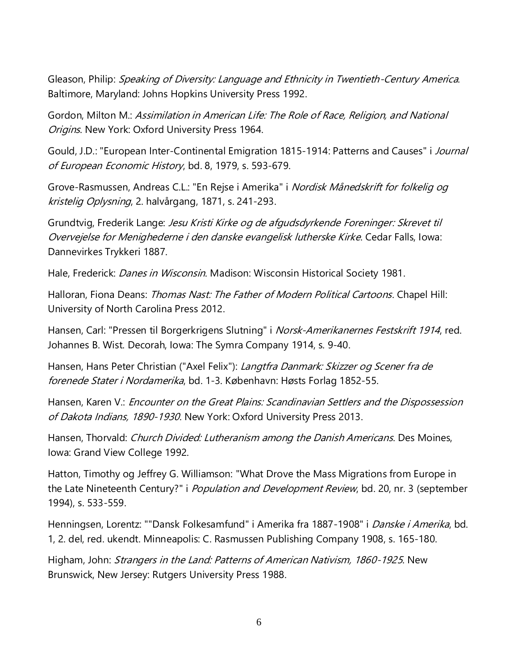Gleason, Philip: Speaking of Diversity: Language and Ethnicity in Twentieth-Century America. Baltimore, Maryland: Johns Hopkins University Press 1992.

Gordon, Milton M.: Assimilation in American Life: The Role of Race, Religion, and National Origins. New York: Oxford University Press 1964.

Gould, J.D.: "European Inter-Continental Emigration 1815-1914: Patterns and Causes" i Journal of European Economic History, bd. 8, 1979, s. 593-679.

Grove-Rasmussen, Andreas C.L.: "En Rejse i Amerika" i Nordisk Månedskrift for folkelig og kristelig Oplysning, 2. halvårgang, 1871, s. 241-293.

Grundtvig, Frederik Lange: Jesu Kristi Kirke og de afgudsdyrkende Foreninger: Skrevet til Overvejelse for Menighederne i den danske evangelisk lutherske Kirke. Cedar Falls, Iowa: Dannevirkes Trykkeri 1887.

Hale, Frederick: *Danes in Wisconsin*. Madison: Wisconsin Historical Society 1981.

Halloran, Fiona Deans: Thomas Nast: The Father of Modern Political Cartoons. Chapel Hill: University of North Carolina Press 2012.

Hansen, Carl: "Pressen til Borgerkrigens Slutning" i *Norsk-Amerikanernes Festskrift 1914*, red. Johannes B. Wist. Decorah, Iowa: The Symra Company 1914, s. 9-40.

Hansen, Hans Peter Christian ("Axel Felix"): *Langtfra Danmark: Skizzer og Scener fra de* forenede Stater i Nordamerika, bd. 1-3. København: Høsts Forlag 1852-55.

Hansen, Karen V.: Encounter on the Great Plains: Scandinavian Settlers and the Dispossession of Dakota Indians, 1890-1930. New York: Oxford University Press 2013.

Hansen, Thorvald: Church Divided: Lutheranism among the Danish Americans. Des Moines, Iowa: Grand View College 1992.

Hatton, Timothy og Jeffrey G. Williamson: "What Drove the Mass Migrations from Europe in the Late Nineteenth Century?" i Population and Development Review, bd. 20, nr. 3 (september 1994), s. 533-559.

Henningsen, Lorentz: ""Dansk Folkesamfund" i Amerika fra 1887-1908" i *Danske i Amerika*, bd. 1, 2. del, red. ukendt. Minneapolis: C. Rasmussen Publishing Company 1908, s. 165-180.

Higham, John: *Strangers in the Land: Patterns of American Nativism, 1860-1925*. New Brunswick, New Jersey: Rutgers University Press 1988.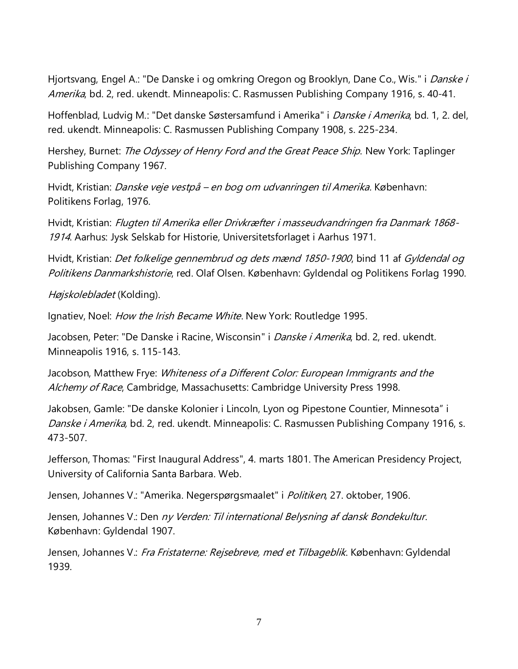Hjortsvang, Engel A.: "De Danske i og omkring Oregon og Brooklyn, Dane Co., Wis." i *Danske i* Amerika, bd. 2, red. ukendt. Minneapolis: C. Rasmussen Publishing Company 1916, s. 40-41.

Hoffenblad, Ludvig M.: "Det danske Søstersamfund i Amerika" i *Danske i Amerika*, bd. 1, 2. del, red. ukendt. Minneapolis: C. Rasmussen Publishing Company 1908, s. 225-234.

Hershey, Burnet: *The Odyssey of Henry Ford and the Great Peace Ship*. New York: Taplinger Publishing Company 1967.

Hvidt, Kristian: *Danske veje vestpå – en bog om udvanringen til Amerika*. København: Politikens Forlag, 1976.

Hvidt, Kristian: Flugten til Amerika eller Drivkræfter i masseudvandringen fra Danmark 1868- 1914. Aarhus: Jysk Selskab for Historie, Universitetsforlaget i Aarhus 1971.

Hvidt, Kristian: *Det folkelige gennembrud og dets mænd 1850-1900*, bind 11 af Gyldendal og Politikens Danmarkshistorie, red. Olaf Olsen. København: Gyldendal og Politikens Forlag 1990.

Højskolebladet (Kolding).

Ignatiev, Noel: *How the Irish Became White*. New York: Routledge 1995.

Jacobsen, Peter: "De Danske i Racine, Wisconsin" i *Danske i Amerika*, bd. 2, red. ukendt. Minneapolis 1916, s. 115-143.

Jacobson, Matthew Frye: Whiteness of a Different Color: European Immigrants and the Alchemy of Race, Cambridge, Massachusetts: Cambridge University Press 1998.

Jakobsen, Gamle: "De danske Kolonier i Lincoln, Lyon og Pipestone Countier, Minnesota" i Danske i Amerika, bd. 2, red. ukendt. Minneapolis: C. Rasmussen Publishing Company 1916, s. 473-507.

Jefferson, Thomas: "First Inaugural Address", 4. marts 1801. The American Presidency Project, University of California Santa Barbara. Web.

Jensen, Johannes V.: "Amerika. Negerspørgsmaalet" i Politiken, 27. oktober, 1906.

Jensen, Johannes V.: Den ny Verden: Til international Belysning af dansk Bondekultur. København: Gyldendal 1907.

Jensen, Johannes V.: Fra Fristaterne: Rejsebreve, med et Tilbageblik. København: Gyldendal 1939.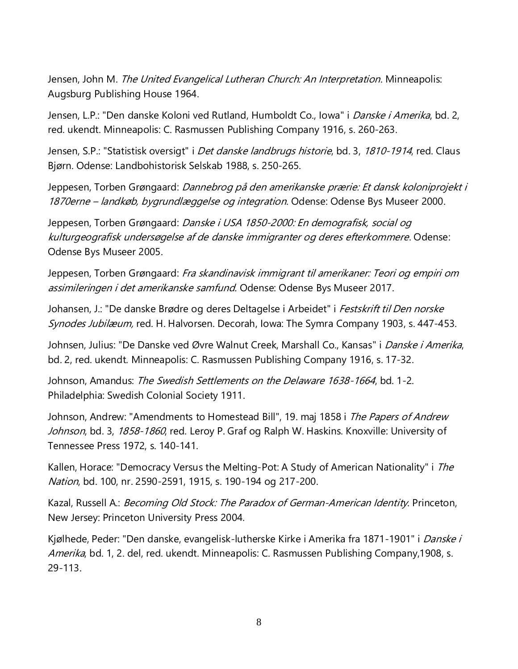Jensen, John M. *The United Evangelical Lutheran Church: An Interpretation*. Minneapolis: Augsburg Publishing House 1964.

Jensen, L.P.: "Den danske Koloni ved Rutland, Humboldt Co., Iowa" i *Danske i Amerika*, bd. 2, red. ukendt. Minneapolis: C. Rasmussen Publishing Company 1916, s. 260-263.

Jensen, S.P.: "Statistisk oversigt" i *Det danske landbrugs historie*, bd. 3, 1810-1914, red. Claus Bjørn. Odense: Landbohistorisk Selskab 1988, s. 250-265.

Jeppesen, Torben Grøngaard: Dannebrog på den amerikanske prærie: Et dansk koloniprojekt i 1870erne – landkøb, bygrundlæggelse og integration. Odense: Odense Bys Museer 2000.

Jeppesen, Torben Grøngaard: Danske i USA 1850-2000: En demografisk, social og kulturgeografisk undersøgelse af de danske immigranter og deres efterkommere. Odense: Odense Bys Museer 2005.

Jeppesen, Torben Grøngaard: Fra skandinavisk immigrant til amerikaner: Teori og empiri om assimileringen i det amerikanske samfund. Odense: Odense Bys Museer 2017.

Johansen, J.: "De danske Brødre og deres Deltagelse i Arbeidet" i Festskrift til Den norske Synodes Jubilæum, red. H. Halvorsen. Decorah, Iowa: The Symra Company 1903, s. 447-453.

Johnsen, Julius: "De Danske ved Øvre Walnut Creek, Marshall Co., Kansas" i Danske i Amerika, bd. 2, red. ukendt. Minneapolis: C. Rasmussen Publishing Company 1916, s. 17-32.

Johnson, Amandus: The Swedish Settlements on the Delaware 1638-1664, bd. 1-2. Philadelphia: Swedish Colonial Society 1911.

Johnson, Andrew: "Amendments to Homestead Bill", 19. maj 1858 i *The Papers of Andrew* Johnson, bd. 3, 1858-1860, red. Leroy P. Graf og Ralph W. Haskins. Knoxville: University of Tennessee Press 1972, s. 140-141.

Kallen, Horace: "Democracy Versus the Melting-Pot: A Study of American Nationality" i The Nation, bd. 100, nr. 2590-2591, 1915, s. 190-194 og 217-200.

Kazal, Russell A.: *Becoming Old Stock: The Paradox of German-American Identity*. Princeton, New Jersey: Princeton University Press 2004.

Kjølhede, Peder: "Den danske, evangelisk-lutherske Kirke i Amerika fra 1871-1901" i Danske i Amerika, bd. 1, 2. del, red. ukendt. Minneapolis: C. Rasmussen Publishing Company, 1908, s. 29-113.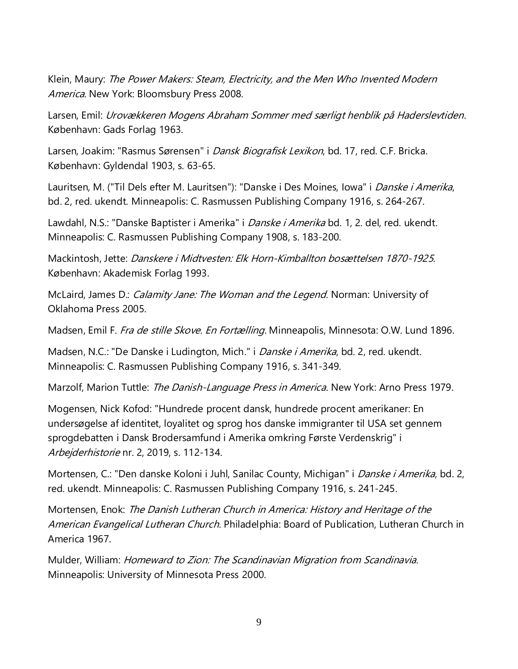Klein, Maury: The Power Makers: Steam, Electricity, and the Men Who Invented Modern America. New York: Bloomsbury Press 2008.

Larsen, Emil: Urovækkeren Mogens Abraham Sommer med særligt henblik på Haderslevtiden. København: Gads Forlag 1963.

Larsen, Joakim: "Rasmus Sørensen" i *Dansk Biografisk Lexikon*, bd. 17, red. C.F. Bricka. København: Gyldendal 1903, s. 63-65.

Lauritsen, M. ("Til Dels efter M. Lauritsen"): "Danske i Des Moines, Iowa" i *Danske i Amerika*, bd. 2, red. ukendt. Minneapolis: C. Rasmussen Publishing Company 1916, s. 264-267.

Lawdahl, N.S.: "Danske Baptister i Amerika" i *Danske i Amerika* bd. 1, 2. del, red. ukendt. Minneapolis: C. Rasmussen Publishing Company 1908, s. 183-200.

Mackintosh, Jette: Danskere i Midtvesten: Elk Horn-Kimballton bosættelsen 1870-1925. København: Akademisk Forlag 1993.

McLaird, James D.: *Calamity Jane: The Woman and the Legend*. Norman: University of Oklahoma Press 2005.

Madsen, Emil F. Fra de stille Skove. En Fortælling. Minneapolis, Minnesota: O.W. Lund 1896.

Madsen, N.C.: "De Danske i Ludington, Mich." i *Danske i Amerika*, bd. 2, red. ukendt. Minneapolis: C. Rasmussen Publishing Company 1916, s. 341-349.

Marzolf, Marion Tuttle: The Danish-Language Press in America. New York: Arno Press 1979.

Mogensen, Nick Kofod: "Hundrede procent dansk, hundrede procent amerikaner: En undersøgelse af identitet, loyalitet og sprog hos danske immigranter til USA set gennem sprogdebatten i Dansk Brodersamfund i Amerika omkring Første Verdenskrig" i Arbejderhistorie nr. 2, 2019, s. 112-134.

Mortensen, C.: "Den danske Koloni i Juhl, Sanilac County, Michigan" i *Danske i Amerika*, bd. 2, red. ukendt. Minneapolis: C. Rasmussen Publishing Company 1916, s. 241-245.

Mortensen, Enok: The Danish Lutheran Church in America: History and Heritage of the American Evangelical Lutheran Church. Philadelphia: Board of Publication, Lutheran Church in America 1967.

Mulder, William: Homeward to Zion: The Scandinavian Migration from Scandinavia. Minneapolis: University of Minnesota Press 2000.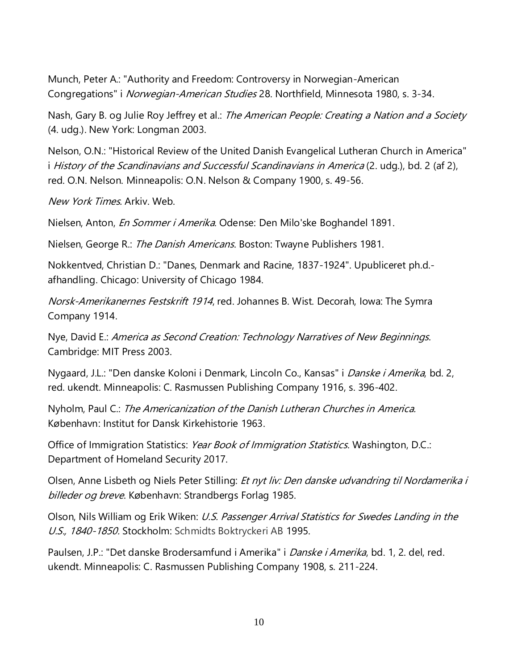Munch, Peter A.: "Authority and Freedom: Controversy in Norwegian-American Congregations" i Norwegian-American Studies 28. Northfield, Minnesota 1980, s. 3-34.

Nash, Gary B. og Julie Roy Jeffrey et al.: The American People: Creating a Nation and a Society (4. udg.). New York: Longman 2003.

Nelson, O.N.: "Historical Review of the United Danish Evangelical Lutheran Church in America" i History of the Scandinavians and Successful Scandinavians in America (2. udg.), bd. 2 (af 2), red. O.N. Nelson. Minneapolis: O.N. Nelson & Company 1900, s. 49-56.

New York Times. Arkiv. Web.

Nielsen, Anton, *En Sommer i Amerika*. Odense: Den Milo'ske Boghandel 1891.

Nielsen, George R.: The Danish Americans. Boston: Twayne Publishers 1981.

Nokkentved, Christian D.: "Danes, Denmark and Racine, 1837-1924". Upubliceret ph.d. afhandling. Chicago: University of Chicago 1984.

Norsk-Amerikanernes Festskrift 1914, red. Johannes B. Wist. Decorah, Iowa: The Symra Company 1914.

Nye, David E.: America as Second Creation: Technology Narratives of New Beginnings. Cambridge: MIT Press 2003.

Nygaard, J.L.: "Den danske Koloni i Denmark, Lincoln Co., Kansas" i *Danske i Amerika*, bd. 2, red. ukendt. Minneapolis: C. Rasmussen Publishing Company 1916, s. 396-402.

Nyholm, Paul C.: The Americanization of the Danish Lutheran Churches in America. København: Institut for Dansk Kirkehistorie 1963.

Office of Immigration Statistics: Year Book of Immigration Statistics. Washington, D.C.: Department of Homeland Security 2017.

Olsen, Anne Lisbeth og Niels Peter Stilling: Et nyt liv: Den danske udvandring til Nordamerika i billeder og breve. København: Strandbergs Forlag 1985.

Olson, Nils William og Erik Wiken: U.S. Passenger Arrival Statistics for Swedes Landing in the U.S., 1840-1850. Stockholm: Schmidts Boktryckeri AB 1995.

Paulsen, J.P.: "Det danske Brodersamfund i Amerika" i *Danske i Amerika*, bd. 1, 2. del, red. ukendt. Minneapolis: C. Rasmussen Publishing Company 1908, s. 211-224.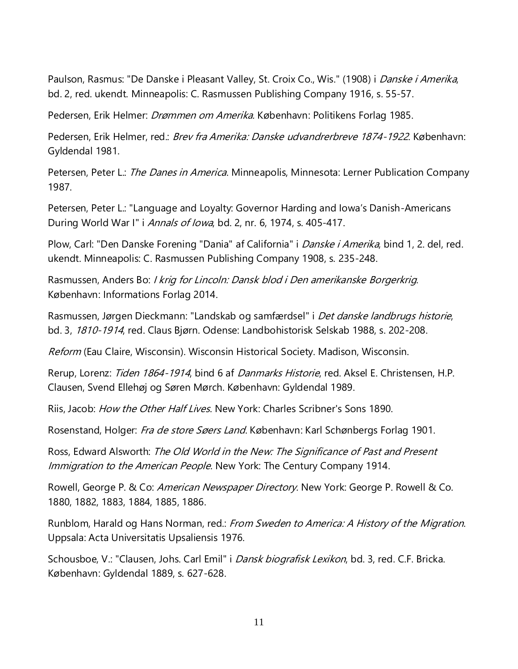Paulson, Rasmus: "De Danske i Pleasant Valley, St. Croix Co., Wis." (1908) i *Danske i Amerika*, bd. 2, red. ukendt. Minneapolis: C. Rasmussen Publishing Company 1916, s. 55-57.

Pedersen, Erik Helmer: *Drømmen om Amerika.* København: Politikens Forlag 1985.

Pedersen, Erik Helmer, red.: *Brev fra Amerika: Danske udvandrerbreve 1874-1922*. København: Gyldendal 1981.

Petersen, Peter L.: The Danes in America. Minneapolis, Minnesota: Lerner Publication Company 1987.

Petersen, Peter L.: "Language and Loyalty: Governor Harding and Iowa's Danish-Americans During World War I" i Annals of Iowa, bd. 2, nr. 6, 1974, s. 405-417.

Plow, Carl: "Den Danske Forening "Dania" af California" i *Danske i Amerika*, bind 1, 2. del, red. ukendt. Minneapolis: C. Rasmussen Publishing Company 1908, s. 235-248.

Rasmussen, Anders Bo: I krig for Lincoln: Dansk blod i Den amerikanske Borgerkrig. København: Informations Forlag 2014.

Rasmussen, Jørgen Dieckmann: "Landskab og samfærdsel" i *Det danske landbrugs historie*, bd. 3, 1810-1914, red. Claus Bjørn. Odense: Landbohistorisk Selskab 1988, s. 202-208.

Reform (Eau Claire, Wisconsin). Wisconsin Historical Society. Madison, Wisconsin.

Rerup, Lorenz: *Tiden 1864-1914*, bind 6 af *Danmarks Historie*, red. Aksel E. Christensen, H.P. Clausen, Svend Ellehøj og Søren Mørch. København: Gyldendal 1989.

Riis, Jacob: *How the Other Half Lives*. New York: Charles Scribner's Sons 1890.

Rosenstand, Holger: Fra de store Søers Land. København: Karl Schønbergs Forlag 1901.

Ross, Edward Alsworth: The Old World in the New: The Significance of Past and Present Immigration to the American People. New York: The Century Company 1914.

Rowell, George P. & Co: American Newspaper Directory. New York: George P. Rowell & Co. 1880, 1882, 1883, 1884, 1885, 1886.

Runblom, Harald og Hans Norman, red.: From Sweden to America: A History of the Migration. Uppsala: Acta Universitatis Upsaliensis 1976.

Schousboe, V.: "Clausen, Johs. Carl Emil" i *Dansk biografisk Lexikon*, bd. 3, red. C.F. Bricka. København: Gyldendal 1889, s. 627-628.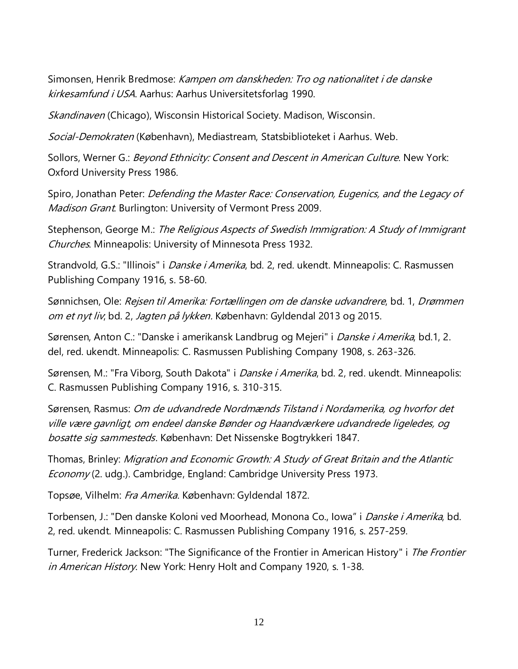Simonsen, Henrik Bredmose: *Kampen om danskheden: Tro og nationalitet i de danske* kirkesamfund i USA. Aarhus: Aarhus Universitetsforlag 1990.

Skandinaven (Chicago), Wisconsin Historical Society. Madison, Wisconsin.

Social-Demokraten (København), Mediastream, Statsbiblioteket i Aarhus. Web.

Sollors, Werner G.: *Beyond Ethnicity: Consent and Descent in American Culture*. New York: Oxford University Press 1986.

Spiro, Jonathan Peter: *Defending the Master Race: Conservation, Eugenics, and the Legacy of* Madison Grant. Burlington: University of Vermont Press 2009.

Stephenson, George M.: The Religious Aspects of Swedish Immigration: A Study of Immigrant Churches. Minneapolis: University of Minnesota Press 1932.

Strandvold, G.S.: "Illinois" i *Danske i Amerika*, bd. 2, red. ukendt. Minneapolis: C. Rasmussen Publishing Company 1916, s. 58-60.

Sønnichsen, Ole: Rejsen til Amerika: Fortællingen om de danske udvandrere, bd. 1, Drømmen om et nyt liv, bd. 2, Jagten på lykken. København: Gyldendal 2013 og 2015.

Sørensen, Anton C.: "Danske i amerikansk Landbrug og Mejeri" i *Danske i Amerika*, bd.1, 2. del, red. ukendt. Minneapolis: C. Rasmussen Publishing Company 1908, s. 263-326.

Sørensen, M.: "Fra Viborg, South Dakota" i *Danske i Amerika*, bd. 2, red. ukendt. Minneapolis: C. Rasmussen Publishing Company 1916, s. 310-315.

Sørensen, Rasmus: Om de udvandrede Nordmænds Tilstand i Nordamerika, og hvorfor det ville være gavnligt, om endeel danske Bønder og Haandværkere udvandrede ligeledes, og bosatte sig sammesteds. København: Det Nissenske Bogtrykkeri 1847.

Thomas, Brinley: Migration and Economic Growth: A Study of Great Britain and the Atlantic Economy (2. udg.). Cambridge, England: Cambridge University Press 1973.

Topsøe, Vilhelm: Fra Amerika. København: Gyldendal 1872.

Torbensen, J.: "Den danske Koloni ved Moorhead, Monona Co., Iowa" i *Danske i Amerika*, bd. 2, red. ukendt. Minneapolis: C. Rasmussen Publishing Company 1916, s. 257-259.

Turner, Frederick Jackson: "The Significance of the Frontier in American History" i The Frontier in American History. New York: Henry Holt and Company 1920, s. 1-38.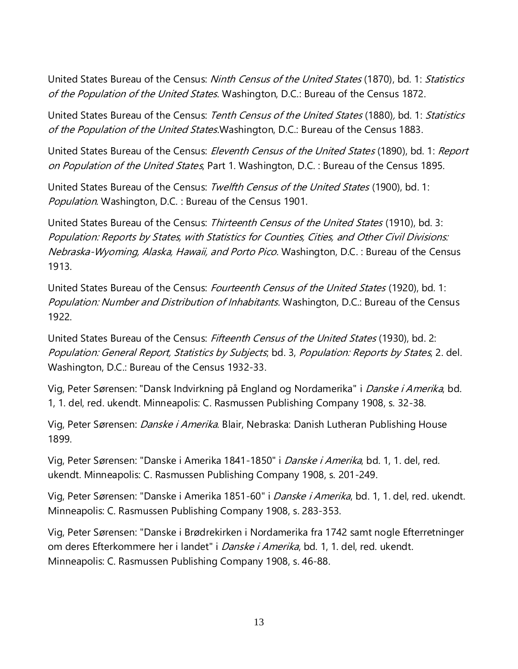United States Bureau of the Census: Ninth Census of the United States (1870), bd. 1: Statistics of the Population of the United States. Washington, D.C.: Bureau of the Census 1872.

United States Bureau of the Census: Tenth Census of the United States (1880), bd. 1: Statistics of the Population of the United States. Washington, D.C.: Bureau of the Census 1883.

United States Bureau of the Census: *Eleventh Census of the United States* (1890), bd. 1: Report on Population of the United States, Part 1. Washington, D.C. : Bureau of the Census 1895.

United States Bureau of the Census: *Twelfth Census of the United States* (1900), bd. 1: Population. Washington, D.C. : Bureau of the Census 1901.

United States Bureau of the Census: Thirteenth Census of the United States (1910), bd. 3: Population: Reports by States, with Statistics for Counties, Cities, and Other Civil Divisions: Nebraska-Wyoming, Alaska, Hawaii, and Porto Pico. Washington, D.C. : Bureau of the Census 1913.

United States Bureau of the Census: Fourteenth Census of the United States (1920), bd. 1: Population: Number and Distribution of Inhabitants. Washington, D.C.: Bureau of the Census 1922.

United States Bureau of the Census: Fifteenth Census of the United States (1930), bd. 2: Population: General Report, Statistics by Subjects; bd. 3, Population: Reports by States, 2. del. Washington, D.C.: Bureau of the Census 1932-33.

Vig, Peter Sørensen: "Dansk Indvirkning på England og Nordamerika" i *Danske i Amerika*, bd. 1, 1. del, red. ukendt. Minneapolis: C. Rasmussen Publishing Company 1908, s. 32-38.

Vig, Peter Sørensen: *Danske i Amerika*. Blair, Nebraska: Danish Lutheran Publishing House 1899.

Vig, Peter Sørensen: "Danske i Amerika 1841-1850" i *Danske i Amerika*, bd. 1, 1. del, red. ukendt. Minneapolis: C. Rasmussen Publishing Company 1908, s. 201-249.

Vig, Peter Sørensen: "Danske i Amerika 1851-60" i *Danske i Amerika*, bd. 1, 1. del, red. ukendt. Minneapolis: C. Rasmussen Publishing Company 1908, s. 283-353.

Vig, Peter Sørensen: "Danske i Brødrekirken i Nordamerika fra 1742 samt nogle Efterretninger om deres Efterkommere her i landet" i *Danske i Amerika*, bd. 1, 1. del, red. ukendt. Minneapolis: C. Rasmussen Publishing Company 1908, s. 46-88.